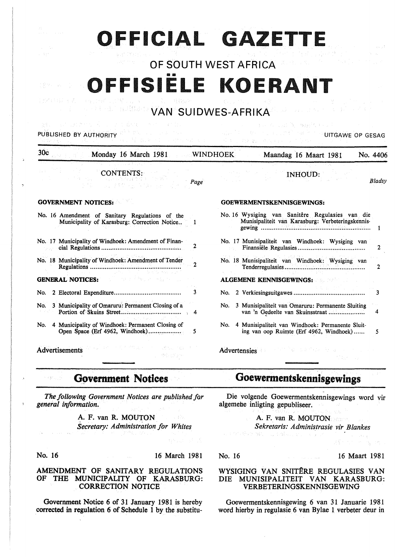# OFFICIAL GAZETTE

## OF SOUTH WEST AFRICA FFISIËLE KOERANT

#### **Audibants** VAN SUIDWES-AFRIKA

#### A Second Capital Complete Co PUBLISHED BY AUTHORITY AND RESIDENT AND RESIDENCE OF GESAGRAPHIC CONTRACT OF GESAGRAPHIC CONTRACT OF GESAGRAPHIC CONTRACT OF GESAGRAPHIC CONTRACT OF GESAGRAPHIC CONTRACT OF GESAGRAPHIC CONTRACT OF GESAGRAPHIC CONTRACT OF G

| CONTENTS:<br>i su Andele troni i Frank<br>Page<br>的复数人名英格兰人姓氏英格兰人姓氏                             | <b>INHOUD:</b><br>Bladsy                                                                             |  |  |
|-------------------------------------------------------------------------------------------------|------------------------------------------------------------------------------------------------------|--|--|
| <b>GOVERNMENT NOTICES:</b>                                                                      | <b>GOEWERMENTSKENNISGEWINGS:</b>                                                                     |  |  |
| No. 16 Amendment of Sanitary Regulations of the<br>Municipality of Karasburg: Correction Notice | No. 16 Wysiging van Sanitêre Regulasies van die<br>Munisipaliteit van Karasburg: Verbeteringskennis- |  |  |
| No. 17 Municipality of Windhoek: Amendment of Finan-<br>2                                       | No. 17 Munisipaliteit van Windhoek: Wysiging van                                                     |  |  |
| No. 18 Municipality of Windhoek: Amendment of Tender<br>$\mathbf{r}$                            | No. 18 Munisipaliteit van Windhoek: Wysiging van<br>2                                                |  |  |
| THE REPORT HANDLINE<br><b>GENERAL NOTICES:</b>                                                  | ALGEMENE KENNISGEWINGS: ALGEMENE KENNISGEWINGS:                                                      |  |  |
| 3                                                                                               | No.<br>3                                                                                             |  |  |
| No. 3 Municipality of Omaruru: Permanent Closing of a<br>-4                                     | 3 Munisipaliteit van Omaruru: Permanente Sluiting<br>No.<br>van 'n Gedeelte van Skuinsstraat<br>4    |  |  |
| No. 4 Municipality of Windhoek: Permanent Closing of<br>5                                       | No. 4 Munisipaliteit van Windhoek: Permanente Sluit-<br>ing van oop Ruimte (Erf 4962, Windhoek)<br>5 |  |  |
| <b>これに、最も以上のは</b><br>Advertisements<br>행동 보장사                                                   | 医外侧的 法法律的 医心室<br>Advertensies                                                                        |  |  |

Government Notices

*The following Government Notices are published far general information.* 

> A. F. van R. MOUTON na Piv **Secretary: Administration for Whites**

s egnus fi

No. 16 16 March 1981

#### AMENDMENT OF SANITARY REGULATIONS OF THE MUNICIPALITY OF KARASBURG: CORRECTION NOTICE

Government Notice 6 of 31 January 1981 is hereby corrected in regulation 6 of Schedule 1 by the substitu-

## Goewermentskennisgewings

Die volgende Goewermentskennisgewings word vir algemehe inligting gepubliseer.

A. F. van R. MOUTON *Sekretaris: Administrasie vir Blankes* 

No. 16 16 Maart 1981

#### WYSIGING VAN SNITÊRE REGULASIES VAN DIE MUNISIPALITEIT VAN KARASBURG: VERBETERINGSKENNISGEWING

Goewermentskennisgewing 6 van 31 Januarie 1981 word hierby in regulasie 6 van Bylae 1 verbeter deur in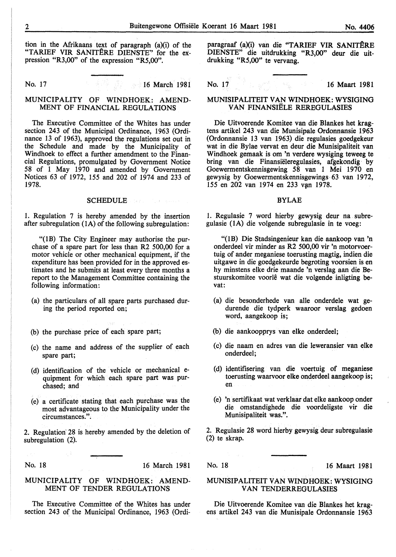tion in the Mrikaans text of paragraph (a)(i) of the "TARIEF VIR SANITERE DIENSTE'' for the expression "R3,00" of the expression "R5,00".

No. 17 16 March 1981

#### MUNICIPALITY OF WINDHOEK: AMEND-MENT OF FINANCIAL REGULATIONS

The Executive Committee of the Whites has under section 243 of the Municipal Ordinance, 1963 (Ordinance 13 of 1963), approved the regulations set out in the Schedule and made by the Municipality of Windhoek to effect a further amendment to the Financial Regulations, promulgated by Government Notice 58 of 1 May 1970 and amended by Government Notices 63 of 1972, 155 and 202 of 1974 and 233 of 1978.

#### SCHEDULE **Section 2008**

1. Regulation 7 is hereby amended by the insertion after subregulation (1A} of the following subregulation:

"(1B) The City Engineer may authorise the purchase of a spare part for less than R2 500,00 for a motor vehicle or other mechanical equipment, if the expenditure has been provided for in the approved estimates and he submits at least every three months a report to the Management Committee containing the following information:

- (a) the particulars of all spare parts purchased during the period reported on;
- (b) the purchase price of each spare part;
- (c) the name and address of the supplier of each spare part;
- (d) identification of the vehicle or mechanical equipment for which each spare part was purchased; and
- (e) a certificate stating that each purchase was the most advantageous to the Municipality under the circumstances.".

2. Regulation 28 is hereby amended by the deletion of subregulation (2).

 $\gamma_{\mu}^{-1}$ 

No. 18 16 March 1981

#### MUNICIPALITY OF WINDHOEK: AMEND-MENT OF TENDER REGULATIONS

The Executive Committee of the Whites has under section 243 of the Municipal Ordinance, 1963 (Ordiparagraaf (a)(i) van die "TARIEF VIR SANITÊRE DIENSTE" die uitdrukking "R3,00" deur die uitdrukking "R5,00" te vervang.

No. 17 16 Maart 1981

#### MUNISIPALITEIT VAN WINDHOEK: WYSIGING VAN FINANSIËLE REREGULASIES

Die Uitvoerende Komitee van die Blankes het kragtens artikel 243 van die Munisipale Ordonnansie 1963 (Ordonnansie 13 van 1963) die regulasies goedgekeur wat in die Bylae vervat en deur die Munisipaliteit van Windhoek gemaak is om 'n verdere wysiging teweeg te bring van die Finansiëleregulasies, afgekondig by Goewermentskennisgewing 58 van 1 Mei 1970 en gewysig by Goewermentskennisgewings-63 van 1972, 155 en 202 van 1974 en 233 van 1978.

#### BYLAE

1. Regulasie 7 word hierby gewysig deur na subregulasie (1A) die volgende subregulasie in te voeg:

"(lB) Die Stadsingenieur kan die aankoop van 'n onderdeel vir minder as R2 500,00 vir 'n motorvoertuig of ander meganiese toerusting magtig, indien die uitgawe in die goedgekeurde begroting voorsien is en hy minstens elke drie maande 'n verslag aan die Bestuurskomitee voorle wat die volgende inligting bevat:

- (a) die besonderhede van aile onderdele wat gedurende die tydperk waaroor verslag gedoen word, aangekoop is;
- (b) die aankoopprys van elke onderdeel;
- (c) die naam en adres van die leweransier van elke onderdeel;
- (d) identifisering van die voertuig of meganiese toerusting waarvoor elke onderdeel aangekoop is; en
- (e) 'n sertifikaat wat verklaar dat elke aankoop onder die omstandighede die voordeligste vir die Munisipaliteit was.".

2. Regulasie 28 word hierby gewysig deur subregulasie (2) te skrap.

No. 18 16 Maart 1981

#### MUNISIPALITEIT VAN WINDHOEK: WYSIGING VAN TENDERREGULASIES

Die Uitvoerende Komitee van die Blankes het kragens artikel 243 van die Munisipale Ordonnansie 1963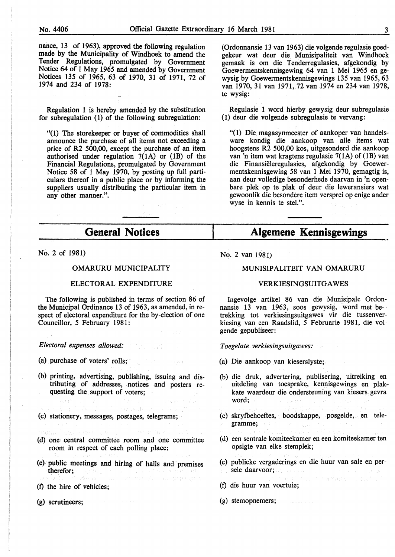nance, 13 of 1963), approved the following regulation made by the Municipality of Windhoek to amend the Tender Regulations, promulgated by Government Notice 64 of 1 May 1965 and amended by Government Notices 135 of 1965, 63 of 1970, 31 of 1971, 72 of 1974 and 234 of 1978:

Regulation 1 is hereby amended by the substitution for subregulation (1) of the following subregulation:

"(1) The storekeeper or buyer of commodities shall announce the purchase of all items not exceeding a price of R2 500,00, except the purchase of an item authorised under regulation  $7(1A)$  or  $(1B)$  of the Financial Regulations, promulgated by Government Notice 58 of 1 May 1970, by posting up full particulars thereof in a public place or by informing the suppliers usually distributing the particular item in any other manner.".

(Ordonnansie 13 van 1963) die volgende regulasie goedgekeur wat deur die Munisipaliteit van Windhoek gemaak is om die Tenderregulasies, afgekondig by Goewermentskennisgewing 64 van 1 Mei 1965 en gewysig by Goewermentskennisgewings 135 van 1965,63 van 1970, 31 van 1971, 72 van 1974 en 234 van 1978, te wysig:

Regulasie 1 word hierby gewysig deur subregulasie (1) deur die volgende subregulasie te vervang:

"(1) Die. magasynmeester of aankoper van handelsware kondig die aankoop van aile items wat hoogstens R2 500,00 kos, uitgesonderd die aankoop van 'n item wat kragtens regulasie 7(1A) of (lB) van die Finansieleregulasies, afgekondig by Goewermentskennisgewing 58 van 1 Mei 1970, gemagtig is, aan deur volledige besonderhede daarvan in 'n openbare plek op te plak of deur die leweransiers wat gewoonlik die besondere item versprei op enige ander wyse in kennis te stel.".

#### **General Notices Algemene Kennisgewings**

No. 2 of 1981)

#### OMARURU MUNICIPALITY

#### ELECTORAL EXPENDITURE

The following is published in terms of section 86 of the Municipal Ordinance 13 of 1963, as amended, in respect of electoral expenditure for the by-election of one Councillor, *5* February 1981:

*Electoral expenses allowed:* 

(a) purchase of voters' rolls;

- (b) printing, advertising, publishing, issuing and distributing of addresses, notices and posters requesting the support of voters;
- a 1980 Amerika Indonesia<br>Geografi muhammada kata (c) stationery, messages, postages, telegrams;
- amin'i Souvante (d) one central committee room and one committee
- room in respect of each polling place;
- (e) public meetings and hiring of halls and premises therefor; Services Alexander British (2011)
- $(f)$  the hire of vehicles;

(g) scrutineers;

No. 2 van 1981)

#### MUNISIPALITEIT VAN OMARURU

#### **VERKIESINGSUITGAWES**

lngevolge artikel 86 van die Munisipale Ordonnansie 13 van 1963, soos gewysig, word met be-· trekking tot verkiesingsuitgawes vir die tussenverkiesing van een Raadslid, *5* Februarie 1981, die volgende gepubliseer:

*Toegelate verkiesingsuitgawes:* 

- (a) Die aankoop van kieserslyste;
- (b) die druk, advertering, publisering, uitreiking en uitdeling van toesprake, kennisgewings en plakkate waardeur die ondersteuning van kiesers gevra word;
- (c) skrytbehoeftes, boodskappe, posgelde, en tetegramme;
- (d) een sentrale komiteekamer en een komiteekamer ten opsigte van elke stemplek;
- (e) publieke vergaderings en die huur van sale en persele daarvoor; at seegaar aan de sele sele sel
- (f) die huur van voertuie;
- 
- (g) stemopnemers;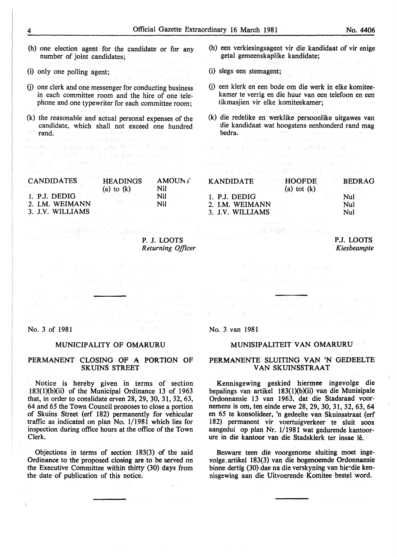(h) one election agent for the candidate or for any number of joint candidates;

- (i) only one polling agent; นครันนางครากร์ตัวคน และ จ
- (j) one clerk and one messenger for conducting business in each committee room and the hire of one telephone and one typewriter for each committee room;
- (k) the reasonable and actual personal expenses of the candidate, which shall not exceed one hundred rand.<br>Se estas Titul Television Silver

contres por respectable and 30 000 of college of

的现在分词 网络阿拉伯 医阿尔比尔氏征 网络克雷维斯 医视觉 医眼镜 计可分类的 and the production of the film

| <b>CANDIDATES</b>            | HEADINGS | AMOUN f |
|------------------------------|----------|---------|
|                              |          | Nil     |
| 1. P.J. DEDIG $(a)$ to $(k)$ |          | Nil     |
| 2. I.M. WEIMANN              | 대선학 지역 시 | Nil     |
| 3. J.V. WILLIAMS             |          |         |
|                              |          |         |

P. J. LOOTS *Returning Officer* 

No. 3 of 1981<sup>2</sup> and the state of the state of the state of the state of the state of the state of the state of the state of the state of the state of the state of the state of the state of the state of the state of the st

 $\label{eq:2} \mathcal{L} = \left( \begin{array}{cc} \mathcal{L} & \mathcal{L} \\ \mathcal{L} & \mathcal{L} \end{array} \right) \mathcal{L} \left( \begin{array}{cc} \mathcal{L} & \mathcal{L} \\ \mathcal{L} & \mathcal{L} \end{array} \right) \mathcal{L} \left( \begin{array}{cc} \mathcal{L} & \mathcal{L} \\ \mathcal{L} & \mathcal{L} \end{array} \right) \mathcal{L} \left( \begin{array}{cc} \mathcal{L} & \mathcal{L} \\ \mathcal{L} & \mathcal{L} \end{array} \right) \mathcal{L} \left$ 

**これが、アメリカの自然的な**、アメリカの最も

#### MUNICIPALITY OF OMARURU.

#### PERMANENT CLOSING OF A PORTION OF SKUINS STREET

Notice is hereby given in terms of section 183(1)(b)(ii) of the Municipal Ordinance 13 of 1963 that, in order to conslidate erven 28, 29, 30, 31, 32, 63, 64 and 65 the Town Council proposes to close a portion of Skuins Street (erf 182) permanently for vehicular traffic as indicated on plan No. 1/1981 which lies for inspection during office hours at the office of the Town Clerk.

Objections in terms of section  $183(3)$  of the said Ordinance to the proposed closing are to be served on the Executive Committee within thirty (30) days from the date of publication of this notice.

 $\bar{1}$ 

- (h) een verkiesingsagent vir die kandidaat of vir enige getal gemeenskaplike kandidate;
- (i) slegs een stemagent;
- G) een klerk en een bode om die werk in elke komiteekamer te verrig en die huur van een telefoon en een tikmasjien vir elke komiteekamer;
- (k) die redelike en werklike persoonlike uitgawes van die kandidaat wat hoogstens eenhonderd rand mag de **bedra.** The second and a sequence of the second second second second second second second second second second second second second second second second second second second second second second second second second se Policy was

## er and the state of the state of the state of the state of the state of the state of the state of the state of<br>The state of the state of the state of the state of the state of the state of the state of the state of the st<br> KANDIDATE HOOFDE BEDRAG

|                  | $\mathbf{a}$ and $\mathbf{b}$ and $\mathbf{b}$ and $\mathbf{b}$ and $\mathbf{c}$ and $\mathbf{b}$ and $\mathbf{c}$  |            |
|------------------|---------------------------------------------------------------------------------------------------------------------|------------|
| 1. P.J. DEDIG    | $\mathbb{E} \left\{ \mathcal{L} \in \mathbb{R}^{K \times K} \mid \mathbf{Null}^{\mathcal{L}_{\text{max}}} \right\}$ |            |
| 2. I.M. WEIMANN  |                                                                                                                     | Nul        |
| 3. J.V. WILLIAMS |                                                                                                                     | $\rm{Nul}$ |

## P.J. LOOTS *Kiesbeampte*

Miller Bakter Grander

No. 3 van 1981

#### MUNISIPALITEIT VAN OMARURU

#### PERMANENTE SLUITING VAN 'N GEDEELTE VAN SKUINSSTRAAT

Kennisgewing geskied hiermee ingevolge die bepalings van artikel 183(1)(b)(ii) van die Munisipale Ordonnansie 13 van 1963. dat die Stadsraad voornemens is om, ten einde erwe 28, 29, 30, 31, 32, 63, 64 en 65 te konsolideer, 'n gedeelte van Skuinsstraat (erf 182) permanent vir voertuigverkeer te sluit soos aangedui op plan Nr. 1/1981 wat gedurende kantoorure in die kantoor van die Stadsklerk ter insae Ie.

Besware teen die voorgenome sluiting moet ingevolge.artikel 183(3) van die bogenoemde Ordonnansie binne dertig (30) dae na die verskyning van hierdie kennisgewing aan die Uitvoerende Komitee bestel word.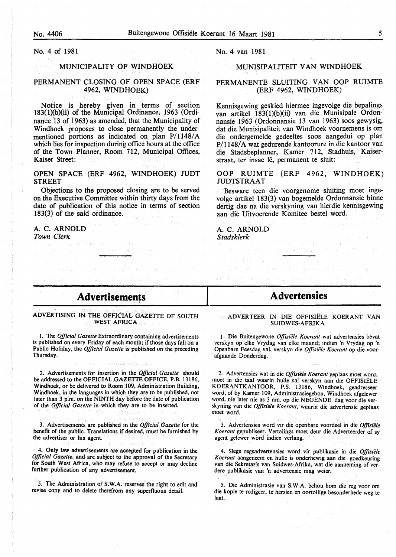No. 4 of 1981

#### MUNICIPALITY OF WINDHOEK

#### PERMANENT CLOSING OF OPEN SPACE (ERF 4962, WINDHOEK)

Notice is hereby given in terms of section 183(1)(b)(ii) of the Municipal Ordinance, 1963 (Ordinance 13 of 1963) as amended, that the Municipality of Windhoek proposes to close permanently the undermentioned portions as indicated on plan P/1148/A which lies for inspection during office hours at the office of the Town Planner, Room 712, Municipal Offices, Kaiser Street:

OPEN SPACE (ERF 4962, WINDHOEK) JUDT STREET

Objections to the proposed closing are to be served on the Executive Committee within thirty days from the date of publication of this notice in terms of section 183(3) of the said ordinance.

Provincia de la Constantidad de

#### A. C. ARNOLD *Town Clerk*

ja.

No. 4 van 1981

#### MUNISIPALITEIT VAN WINDHOEK

#### PERMANENTE SLUITING VAN OOP RUIMTE (ERF 4962, WINDHOEK)

Kennisgewing geskied hiermee ingevolge die bepalings van artikel 183(1)(b)(ii) van die Munisipale Ordonnansie 1963 (Ordonnansie 13 van 1963) soos gewysig, dat die Munisipaliteit van Windhoek voornemens is om die ondergemelde gedeeltes soos aangedui op plan P/1148/A wat gedurende kantoorure in die kantoor van die Stadsbeplanner, Kamer 712, Stadhuis, Kaiserstraat, ter insae lê, permanent te sluit:

OOP RUIMTE (ERF 4962, WINDHOEK) JUDTSTRAAT

Besware teen die voorgenome sluiting moet ingevolge artikel 183(3) van bogemelde Ordonnansie binne dertig dae na die verskyning van hierdie kennisgewing aan die Uitvoerende Komitee bestel word.

A. C. ARNOLD *Stadsklerk* 

### Advertisements

ADVERTISING IN THE OFF1CIAL GAZETTE OF SOUTH WEST AFRICA

I. The *Official Gazette* Extraordinary containing advertisements is published on every Friday of each month; if those days fall on a Public Holiday, the *Official Gazette* is published on the preceding Thursday.

2. Advertisements for insertion in the *Official Gazette* should be addressed to the OFFICIAL GAZETTE OFFICE, P.B. 13186, Windhoek, or be delivered to Room 109, Administration Building, Windhoek, in the languages in which they are to be published, not later than 3 p.m. on the NINTH day before the date of publication of the *Official Gazette* in which they are to be inserted.

3. Advertisements are published in the *Official Gazette* for the benefit of the public. Translations if desired, must be furnished by the advertiser or his agent.

4, Only law advertisements are accepted for publication in the *Oj}icial Gazette,* and are subject to the approval of the Secretary for South West Africa, who may refuse to accept or may decline further publication of any advertisement.

*5.* The Administration of S.W.A. reserves the right to edit and revise copy and to· delete therefrom any superfluous detail.

## **Advertensies**

officers of content and conditions of

ADVER TEER IN DIE OFFISIELE KOERANT VAN SUIDWES-AFRIKA

1. Die Buitengewone *Offisiiile Koerant* wat advertensies bevat verskyn op elke Vrydag van elke maand; indien 'n Vrydag op 'n Openbare Feesdag val, verskyn die *Offisiiile Koerant* op die voorafgaande Donderdag.

2. Advertensies wat in die *Offisiiile Koerant* geplaas moet word, moet in die taal waarin hulle sal verskyn aan die OFFISIELE KOERANTKANTOOR, P.S. 13186, Windhoek, geadresseer word, of by Kamer 109, Administrasiegebou, Windhoek afgelewer word, nie later nie as 3 nm. op die NEGENDE dag voor die verskyning van die *Offisiiile Koerant,* waarin die advertensie geplaas moet word.

3. Advertensies word vir die openbare voordeel in die *Offisiele Koerant* gepubliseer. Vertalings moet deur die Adverteerder of sy agent gelewer word indien verlang.

4. Slegs regsadvertensies word vir publikasie in die *Offisiele Koerant* aangeneem en hulle is onderhewig- aan die goedkeuring van die Sekretaris van Suidwes-Afrika, wat die aanneming of verdere publikasie van 'n advertensie mag weier.

*5.* Die Administrasie van S.W.A. behou hom die reg voor om die kopie te redigeer, te hersien en oortollige besonderhede weg te laat.

 $\mathcal{F}_{\rm{Lip}}$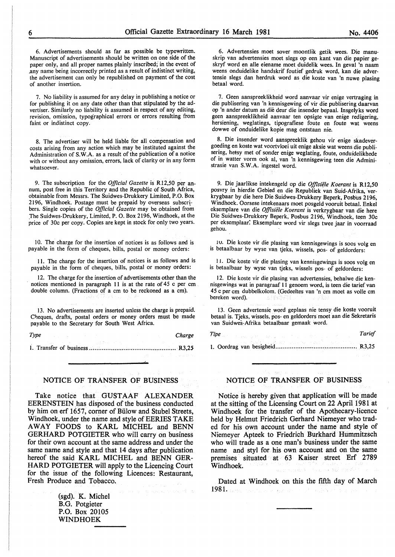6. Advertisements should as far as possible be typewritten. Manuscript of advertisements should be written on one side of the paper only, and all proper names plainly inscribed; in the event of .any name being incorrectly printed as a result of indistinct writing, the advertisement can only be republished on payment of the cost of another insertion.

7. No liability is assumed for any delay in publishing a notice or for publishing it on any date other than that stipulated by the advertiser. Similarly no liability is assumed in respect of any editing, revision, omission, typographical errors or errors resulting from faint or indistinct copy.

8. The advertiser will be held liable for all compensation and costs arising from any action which may be instituted against the Administration of S.W.A. as a result of the publication of a notice with or without any omission, errors, lack of clarity or in any form whatsoever.

9. The subscription for the *Official Gazette* is Rl2,50 per annum, post free in this Territory and the Republic of South Africa, obtainable from Messrs. The Suidwes-Drukkery Limited, P.O. Box 2196, Windhoek. Postage must be prepaid by overseas subscribers. Single copies of the *Official Gazette* may be obtained from .The Suidwes-Drukkery, Limited, P. 0. Box 2196, Windhoek, at the price of 30c per copy. Copies are kept in stock for only two years.

10. The charge for the insertion of notices is as follows and is payable in the form of cheques, bills, postal or money orders:

11. The charge for the insertion of notices is as follows and is payable in the form of cheques, bills, postal or money orders:

12. The charge for the insertion of advertisements other than the notices mentioned in paragraph 11 is at the rate of  $45$  c per cm double column. (Fractions of a em to be reckoned as a em).

13. No advertisements are inserted unless the charge is prepaicl. Cheques, drafts, postal orders or money orders must be made payable to the Secretary for South West Africa.

*Type Charge* 

i. Transfer of business ................................................ R3,25

#### NOTICE OF TRANSFER OF BUSINESS

Take notice that GUSTAAF ALEXANDER EERENSTEIN has disposed of the business conducted by him on erf 1657, corner of Biilow and Stubel Streets, Windhoek, under the name and style of EERIES TAKE AWAY FOODS to KARL MICHEL and BENN GERHARD POTGIETER who will carry on business for their own account at the same address and under the same name and style and that 14 days after publication hereof the said KARL MICHEL and BENN GER-HARD POTGIETER will apply to the Licencing Court for the issue of the following Licences: Restaurant, Fresh Produce and Tobacco.

> (sgd). K. Michel B.G. Potgieter P.O. Box 20105 WINDHOEK

6. Advertensies moet sover moontlik getik wees. Die manuskrip van advertensies moet slegs op een kant van die papier geskryf word en aile eiename moet duidelik wees. In geval 'n naam weens onduidelike handskrif foutief gedruk word, kan die advertensie slegs dan herdruk word as die koste van 'n nuwe plasing betaal word.

7. Geen aanspreeklikheid word aanvaar vir enige vertraging in die publisering van 'n kennisgewing of vir die publisering daarvan op 'n ander datum as die deur die insender bepaal. lnsgelyks word geen aanspreeklikheid aanvaar ten opsigte van enige redigering, hersiening, weglatings, tipografiese foute en foute wat weens dowwe of onduidelike kopie mag ontstaan nie.

8. Die insender word aanspreeklik gehou vir enige skadevergoeding en koste wat voortvloei uit enige aksie wat weens die publisering, hetsy met of sonder enige weglating, foute, onduidelikhede of in watter vorm ook al, van 'n kennisgewing teen die Administrasie van S.W.A. ingestel word.

9. Die jaarlikse intekengeld op die *Offisiele Koerant* is R12,50 posvry in hierdie Gebied en die Republiek van Suid-Afrika, verkrygbaar by die here Die Suidwes-Drukkery Beperk, Posbus 2196, Windhoek. Oorsese intekenaars moet posgeld vooruit betaal. Enkel eksemplare van die *Offisiele Koerant* is verkrygbaar van die here Die Suidwes-Drukkery Beperk, Posbus 2196, Windhoek, teen 30c per eksemplaar: Eksemplare word vir slegs twee jaar in voorraad gehou.

1 v. Die koste vir die plasing van kennisgewings is soos volg en is betaalbaar by wyse van tjeks, wissels, pos- of geldorders:

11. Die koste vir die plasing van kennisgewings is soos volg en is betaalbaar by wyse van tjeks, wissels pos- of geldorders:

12. Die koste vir die plasing van advertensies, behalwe die kennisgewings wat in paragraaf 11 genoem word, is teen die tarief van 45 c per em dubbelkolom. (Gedeeltes van 'n em moet as voile em bereken word).

13. Geen advertensie word geplaas nie tensy die koste vooruit betaal is. Tjeks, wissels, pos- en geldorders moet aan die Sekretaris van Suidwes-Afrika betaalbaar gemaak word.

*Tipe* Tarief **Tarief Tarief** 

1. Oordrag van besigheid ............................................. R3,25

#### NOTICE OF TRANSFER OF BUSINESS

Notice is hereby given that application will be made at the sitting of the Licensing Court on 22 April 1981 at Windhoek for the transfer of the Apothecary-licence held by Helmut Friedrich Gerhard Niemeyer who traded for his own account under the name and style of Niemeyer Apteek to Friedrich Burkhard Hummitzsch who will trade as a one man's business under the same name and styl for his own account and on the same premises situated at 63 Kaiser street Erf 2789 Windhoek.

Dated at Windhoek on this the fifth day of March 1981. Taylor Stri **Republica**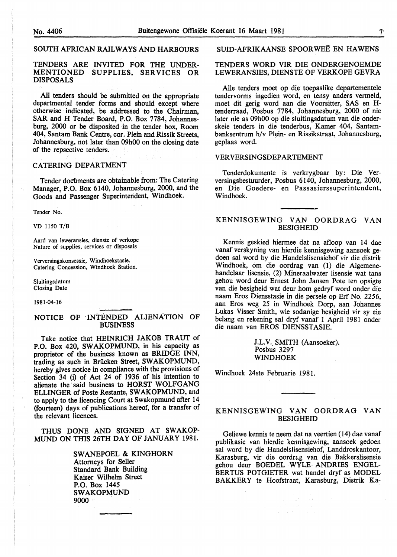#### SOUTH AFRICAN RAILWAYS AND HARBOURS

#### TENDERS ARE INVITED FOR THE UNDER-MENTIONED SUPPLIES, SERVICES OR DISPOSALS

All tenders should be submitted on the appropriate departmental tender forms and should except where otherwise indicated, be addressed to the Chairman, SAR and H Tender Board, P.O. Box 7784, Johannesburg, 2000 or be disposited in the tender box, Room 404, Santam Bank Centre, cor. Plein and Rissik Streets, Johannesburg, not later than 09h00 on the closing date of the repsective tenders.

#### CATERING DEPARTMENT

Tender documents are obtainable from: The Catering Manager, P.O. Box 6140, Johannesburg, 2000, and the Goods and Passenger Superintendent, Windhoek.

Tender No.

VD 1150 T/B

Aard van leweransies, dienste of verkope Nature of supplies, services or disposals

Verversingskonsessie, Windhoekstasie. Catering Concession, Windhoek Station.

Sluitingsdatum Closing Date

1981-04-16

#### NOTICE OF INTENDED ALIENATION OF BUSINESS

Take notice that HEINRICH JAKOB TRAUT of P.O. Box 420, SWAKOPMUND, in his capacity as proprietor of the business known as BRIDGE INN, trading as such in Briicken Street, SWAKOPMUND, hereby gives notice in compliance with the provisions of Section 34 (i) of Act 24 of 1936 of his intention to alienate the said business to HORST WOLFGANG ELLINGER of Poste Restante, SW AKOPMUND, and to apply to the licencing Court at Swakopmund after 14 (fourteen) days of publications hereof, for a transfer of the relevant licences.

THUS DONE AND SIGNED AT SWAKOP-MUND ON THIS 26TH DAY OF JANUARY 1981.

> SWANEPOEL & KINGHORN Attorneys for Seller Standard Bank Building Kaiser Wilhelm Street P.O. Box 1445 SWAKOPMUND 9000

SUID-AFRIKAANSE SPOORWEË EN HAWENS

#### TENDERS WORD VIR DIE ONDERGENOEMDE LEWERANSIES, DIENSTE OF VERKOPE GEVRA

Aile tenders moet op die toepaslike departementele tendervorms ingedien word, en tensy anders vermeld, moet dit gerig word aan die Voorsitter, SAS en Htenderraad, Posbus 7784, Johannesburg, 2000 of nie later nie as 09h00 op die sluitingsdatum van die onderskeie tenders in die tenderbus, Kamer 404, Santambanksentrum h/v Plein- en Rissikstraat, Johannesburg, geplaas word.

#### VERVERSINGSDEPARTEMENT

Tenderdokumente is verkrygbaar by: Die Verversingsbestuurder, Posbus 6140, Johannesburg, 2000, en Die Goedere- en Passasierssuperintendent, Windhoek.

#### KENNISGEWING VAN OORDRAG VAN BESIGHEID

Kennis geskied hiermee dat na afloop van 14 dae vanaf verskyning van hierdie kennisgewing aansoek gedoen sal word by die Handelslisensiehof vir die distrik Windhoek, om die oordrag van (1) die Algemenehandelaar lisensie, (2) Mineraalwater lisensie wat tans gehou word deur Ernest John Jansen Pote ten opsigte van die besigheid wat deur hom gedryf word onder die naam Eros Diensstasie in die persele op Erf No. 2256, aan Eros weg 25 in Windhoek Dorp, aan Johannes Lukas Visser Smith, wie sodanige besigheid vir sy eie belang en rekening sal dryf vanaf 1 April 1981 onder die naam van EROS DIENSSTASIE.

> J.L.V. SMITH (Aansoeker). Posbus 3297 WINDHOEK

Windhoek 24ste Februarie 1981.

#### KENNISGEWlNG VAN OORDRAG VAN BESIGHEID

Geliewe kennis te neem dat na veertien (14) dae vanaf publikasie van hierdie kennisgewing, aansoek gedoen sal word by die Handelslisensiehof, Landdroskantoor, Karasburg, vir die oordrag van die Bakkerslisensie gehou deur BOEDEL WYLE ANDRIES ENGEL-BERTUS POTGIETER wat handel dryf as MODEL BAKKERY te Hoofstraat, Karasburg, Distrik Ka